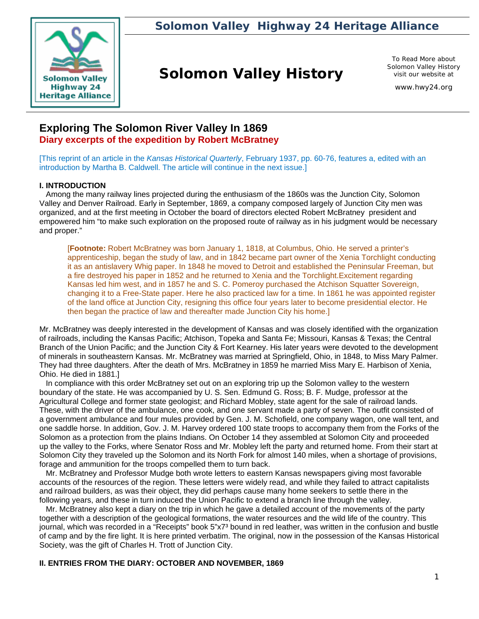

*Solomon Valley Highway 24 Heritage Alliance*

## **Solomon Valley History**

To Read More about Solomon Valley History visit our website at

www.hwy24.org

## **Exploring The Solomon River Valley In 1869 Diary excerpts of the expedition by Robert McBratney**

[This reprint of an article in the *Kansas Historical Quarterly*, February 1937, pp. 60-76, features a, edited with an introduction by Martha B. Caldwell. The article will continue in the next issue.]

## **I. INTRODUCTION**

 Among the many railway lines projected during the enthusiasm of the 1860s was the Junction City, Solomon Valley and Denver Railroad. Early in September, 1869, a company composed largely of Junction City men was organized, and at the first meeting in October the board of directors elected Robert McBratney president and empowered him "to make such exploration on the proposed route of railway as in his judgment would be necessary and proper."

[**Footnote:** Robert McBratney was born January 1, 1818, at Columbus, Ohio. He served a printer's apprenticeship, began the study of law, and in 1842 became part owner of the Xenia Torchlight conducting it as an antislavery Whig paper. In 1848 he moved to Detroit and established the Peninsular Freeman, but a fire destroyed his paper in 1852 and he returned to Xenia and the Torchlight.Excitement regarding Kansas led him west, and in 1857 he and S. C. Pomeroy purchased the Atchison Squatter Sovereign, changing it to a Free-State paper. Here he also practiced law for a time. In 1861 he was appointed register of the land office at Junction City, resigning this office four years later to become presidential elector. He then began the practice of law and thereafter made Junction City his home.]

Mr. McBratney was deeply interested in the development of Kansas and was closely identified with the organization of railroads, including the Kansas Pacific; Atchison, Topeka and Santa Fe; Missouri, Kansas & Texas; the Central Branch of the Union Pacific; and the Junction City & Fort Kearney. His later years were devoted to the development of minerals in southeastern Kansas. Mr. McBratney was married at Springfield, Ohio, in 1848, to Miss Mary Palmer. They had three daughters. After the death of Mrs. McBratney in 1859 he married Miss Mary E. Harbison of Xenia, Ohio. He died in 1881.]

 In compliance with this order McBratney set out on an exploring trip up the Solomon valley to the western boundary of the state. He was accompanied by U. S. Sen. Edmund G. Ross; B. F. Mudge, professor at the Agricultural College and former state geologist; and Richard Mobley, state agent for the sale of railroad lands. These, with the driver of the ambulance, one cook, and one servant made a party of seven. The outfit consisted of a government ambulance and four mules provided by Gen. J. M. Schofield, one company wagon, one wall tent, and one saddle horse. In addition, Gov. J. M. Harvey ordered 100 state troops to accompany them from the Forks of the Solomon as a protection from the plains Indians. On October 14 they assembled at Solomon City and proceeded up the valley to the Forks, where Senator Ross and Mr. Mobley left the party and returned home. From their start at Solomon City they traveled up the Solomon and its North Fork for almost 140 miles, when a shortage of provisions, forage and ammunition for the troops compelled them to turn back.

 Mr. McBratney and Professor Mudge both wrote letters to eastern Kansas newspapers giving most favorable accounts of the resources of the region. These letters were widely read, and while they failed to attract capitalists and railroad builders, as was their object, they did perhaps cause many home seekers to settle there in the following years, and these in turn induced the Union Pacific to extend a branch line through the valley.

 Mr. McBratney also kept a diary on the trip in which he gave a detailed account of the movements of the party together with a description of the geological formations, the water resources and the wild life of the country. This journal, which was recorded in a "Receipts" book 5"x7<sup>3</sup> bound in red leather, was written in the confusion and bustle of camp and by the fire light. It is here printed verbatim. The original, now in the possession of the Kansas Historical Society, was the gift of Charles H. Trott of Junction City.

## **II. ENTRIES FROM THE DIARY: OCTOBER AND NOVEMBER, 1869**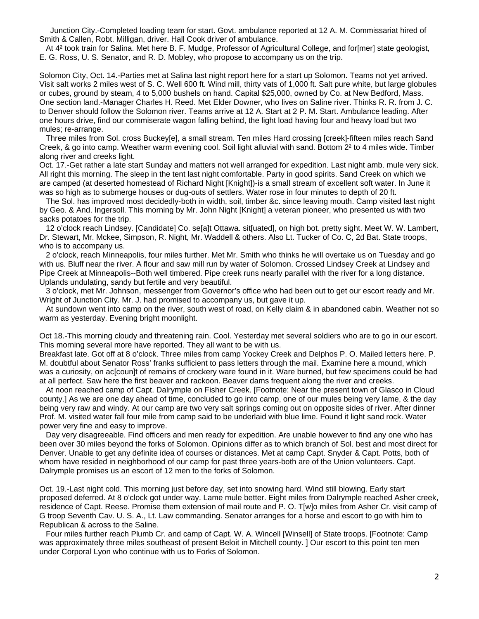Junction City.-Completed loading team for start. Govt. ambulance reported at 12 A. M. Commissariat hired of Smith & Callen, Robt. Milligan, driver. Hall Cook driver of ambulance.

 At 4² took train for Salina. Met here B. F. Mudge, Professor of Agricultural College, and for[mer] state geologist, E. G. Ross, U. S. Senator, and R. D. Mobley, who propose to accompany us on the trip.

Solomon City, Oct. 14.-Parties met at Salina last night report here for a start up Solomon. Teams not yet arrived. Visit salt works 2 miles west of S. C. Well 600 ft. Wind mill, thirty vats of 1,000 ft. Salt pure white, but large globules or cubes, ground by steam, 4 to 5,000 bushels on hand. Capital \$25,000, owned by Co. at New Bedford, Mass. One section land.-Manager Charles H. Reed. Met Elder Downer, who lives on Saline river. Thinks R. R. from J. C. to Denver should follow the Solomon river. Teams arrive at 12 A. Start at 2 P. M. Start. Ambulance leading. After one hours drive, find our commiserate wagon falling behind, the light load having four and heavy load but two mules; re-arrange.

 Three miles from Sol. cross Buckey[e], a small stream. Ten miles Hard crossing [creek]-fifteen miles reach Sand Creek, & go into camp. Weather warm evening cool. Soil light alluvial with sand. Bottom 2² to 4 miles wide. Timber along river and creeks light.

Oct. 17.-Get rather a late start Sunday and matters not well arranged for expedition. Last night amb. mule very sick. All right this morning. The sleep in the tent last night comfortable. Party in good spirits. Sand Creek on which we are camped (at deserted homestead of Richard Night [Knight])-is a small stream of excellent soft water. In June it was so high as to submerge houses or dug-outs of settlers. Water rose in four minutes to depth of 20 ft.

 The Sol. has improved most decidedly-both in width, soil, timber &c. since leaving mouth. Camp visited last night by Geo. & And. Ingersoll. This morning by Mr. John Night [Knight] a veteran pioneer, who presented us with two sacks potatoes for the trip.

 12 o'clock reach Lindsey. [Candidate] Co. se[a]t Ottawa. sit[uated], on high bot. pretty sight. Meet W. W. Lambert, Dr. Stewart, Mr. Mckee, Simpson, R. Night, Mr. Waddell & others. Also Lt. Tucker of Co. C, 2d Bat. State troops, who is to accompany us.

 2 o'clock, reach Minneapolis, four miles further. Met Mr. Smith who thinks he will overtake us on Tuesday and go with us. Bluff near the river. A flour and saw mill run by water of Solomon. Crossed Lindsey Creek at Lindsey and Pipe Creek at Minneapolis--Both well timbered. Pipe creek runs nearly parallel with the river for a long distance. Uplands undulating, sandy but fertile and very beautiful.

 3 o'clock, met Mr. Johnson, messenger from Governor's office who had been out to get our escort ready and Mr. Wright of Junction City. Mr. J. had promised to accompany us, but gave it up.

 At sundown went into camp on the river, south west of road, on Kelly claim & in abandoned cabin. Weather not so warm as yesterday. Evening bright moonlight.

Oct 18.-This morning cloudy and threatening rain. Cool. Yesterday met several soldiers who are to go in our escort. This morning several more have reported. They all want to be with us.

Breakfast late. Got off at 8 o'clock. Three miles from camp Yockey Creek and Delphos P. O. Mailed letters here. P. M. doubtful about Senator Ross' franks sufficient to pass letters through the mail. Examine here a mound, which was a curiosity, on ac[coun]t of remains of crockery ware found in it. Ware burned, but few specimens could be had at all perfect. Saw here the first beaver and rackoon. Beaver dams frequent along the river and creeks.

 At noon reached camp of Capt. Dalrymple on Fisher Creek. [Footnote: Near the present town of Glasco in Cloud county.] As we are one day ahead of time, concluded to go into camp, one of our mules being very lame, & the day being very raw and windy. At our camp are two very salt springs coming out on opposite sides of river. After dinner Prof. M. visited water fall four mile from camp said to be underlaid with blue lime. Found it light sand rock. Water power very fine and easy to improve.

 Day very disagreeable. Find officers and men ready for expedition. Are unable however to find any one who has been over 30 miles beyond the forks of Solomon. Opinions differ as to which branch of Sol. best and most direct for Denver. Unable to get any definite idea of courses or distances. Met at camp Capt. Snyder & Capt. Potts, both of whom have resided in neighborhood of our camp for past three years-both are of the Union volunteers. Capt. Dalrymple promises us an escort of 12 men to the forks of Solomon.

Oct. 19.-Last night cold. This morning just before day, set into snowing hard. Wind still blowing. Early start proposed deferred. At 8 o'clock got under way. Lame mule better. Eight miles from Dalrymple reached Asher creek, residence of Capt. Reese. Promise them extension of mail route and P. O. T[w]o miles from Asher Cr. visit camp of G troop Seventh Cav. U. S. A., Lt. Law commanding. Senator arranges for a horse and escort to go with him to Republican & across to the Saline.

 Four miles further reach Plumb Cr. and camp of Capt. W. A. Wincell [Winsell] of State troops. [Footnote: Camp was approximately three miles southeast of present Beloit in Mitchell county. ] Our escort to this point ten men under Corporal Lyon who continue with us to Forks of Solomon.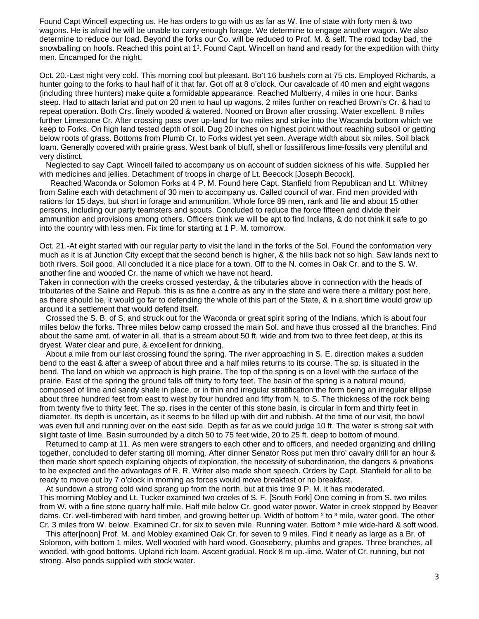Found Capt Wincell expecting us. He has orders to go with us as far as W. line of state with forty men & two wagons. He is afraid he will be unable to carry enough forage. We determine to engage another wagon. We also determine to reduce our load. Beyond the forks our Co. will be reduced to Prof. M. & self. The road today bad, the snowballing on hoofs. Reached this point at 1<sup>3</sup>. Found Capt. Wincell on hand and ready for the expedition with thirty men. Encamped for the night.

Oct. 20.-Last night very cold. This morning cool but pleasant. Bo't 16 bushels corn at 75 cts. Employed Richards, a hunter going to the forks to haul half of it that far. Got off at 8 o'clock. Our cavalcade of 40 men and eight wagons (including three hunters) make quite a formidable appearance. Reached Mulberry, 4 miles in one hour. Banks steep. Had to attach lariat and put on 20 men to haul up wagons. 2 miles further on reached Brown's Cr. & had to repeat operation. Both Crs. finely wooded & watered. Nooned on Brown after crossing. Water excellent. 8 miles further Limestone Cr. After crossing pass over up-land for two miles and strike into the Wacanda bottom which we keep to Forks. On high land tested depth of soil. Dug 20 inches on highest point without reaching subsoil or getting below roots of grass. Bottoms from Plumb Cr. to Forks widest yet seen. Average width about six miles. Soil black loam. Generally covered with prairie grass. West bank of bluff, shell or fossiliferous lime-fossils very plentiful and very distinct.

 Neglected to say Capt. Wincell failed to accompany us on account of sudden sickness of his wife. Supplied her with medicines and jellies. Detachment of troops in charge of Lt. Beecock [Joseph Becock].

 Reached Waconda or Solomon Forks at 4 P. M. Found here Capt. Stanfield from Republican and Lt. Whitney from Saline each with detachment of 30 men to accompany us. Called council of war. Find men provided with rations for 15 days, but short in forage and ammunition. Whole force 89 men, rank and file and about 15 other persons, including our party teamsters and scouts. Concluded to reduce the force fifteen and divide their ammunition and provisions among others. Officers think we will be apt to find Indians, & do not think it safe to go into the country with less men. Fix time for starting at 1 P. M. tomorrow.

Oct. 21.-At eight started with our regular party to visit the land in the forks of the Sol. Found the conformation very much as it is at Junction City except that the second bench is higher, & the hills back not so high. Saw lands next to both rivers. Soil good. All concluded it a nice place for a town. Off to the N. comes in Oak Cr. and to the S. W. another fine and wooded Cr. the name of which we have not heard.

Taken in connection with the creeks crossed yesterday, & the tributaries above in connection with the heads of tributaries of the Saline and Repub. this is as fine a contre as any in the state and were there a military post here, as there should be, it would go far to defending the whole of this part of the State, & in a short time would grow up around it a settlement that would defend itself.

 Crossed the S. B. of S. and struck out for the Waconda or great spirit spring of the Indians, which is about four miles below the forks. Three miles below camp crossed the main Sol. and have thus crossed all the branches. Find about the same amt. of water in all, that is a stream about 50 ft. wide and from two to three feet deep, at this its dryest. Water clear and pure, & excellent for drinking.

 About a mile from our last crossing found the spring. The river approaching in S. E. direction makes a sudden bend to the east & after a sweep of about three and a half miles returns to its course. The sp. is situated in the bend. The land on which we approach is high prairie. The top of the spring is on a level with the surface of the prairie. East of the spring the ground falls off thirty to forty feet. The basin of the spring is a natural mound, composed of lime and sandy shale in place, or in thin and irregular stratification the form being an irregular ellipse about three hundred feet from east to west by four hundred and fifty from N. to S. The thickness of the rock being from twenty five to thirty feet. The sp. rises in the center of this stone basin, is circular in form and thirty feet in diameter. Its depth is uncertain, as it seems to be filled up with dirt and rubbish. At the time of our visit, the bowl was even full and running over on the east side. Depth as far as we could judge 10 ft. The water is strong salt with slight taste of lime. Basin surrounded by a ditch 50 to 75 feet wide, 20 to 25 ft. deep to bottom of mound.

 Returned to camp at 11. As men were strangers to each other and to officers, and needed organizing and drilling together, concluded to defer starting till morning. After dinner Senator Ross put men thro' cavalry drill for an hour & then made short speech explaining objects of exploration, the necessity of subordination, the dangers & privations to be expected and the advantages of R. R. Writer also made short speech. Orders by Capt. Stanfield for all to be ready to move out by 7 o'clock in morning as forces would move breakfast or no breakfast.

 At sundown a strong cold wind sprang up from the north, but at this time 9 P. M. it has moderated. This morning Mobley and Lt. Tucker examined two creeks of S. F. [South Fork] One coming in from S. two miles from W. with a fine stone quarry half mile. Half mile below Cr. good water power. Water in creek stopped by Beaver dams. Cr. well-timbered with hard timber, and growing better up. Width of bottom <sup>2</sup> to <sup>3</sup> mile, water good. The other Cr. 3 miles from W. below. Examined Cr. for six to seven mile. Running water. Bottom 3 mile wide-hard & soft wood.

 This after[noon] Prof. M. and Mobley examined Oak Cr. for seven to 9 miles. Find it nearly as large as a Br. of Solomon, with bottom 1 miles. Well wooded with hard wood. Gooseberry, plumbs and grapes. Three branches, all wooded, with good bottoms. Upland rich loam. Ascent gradual. Rock 8 m up.-lime. Water of Cr. running, but not strong. Also ponds supplied with stock water.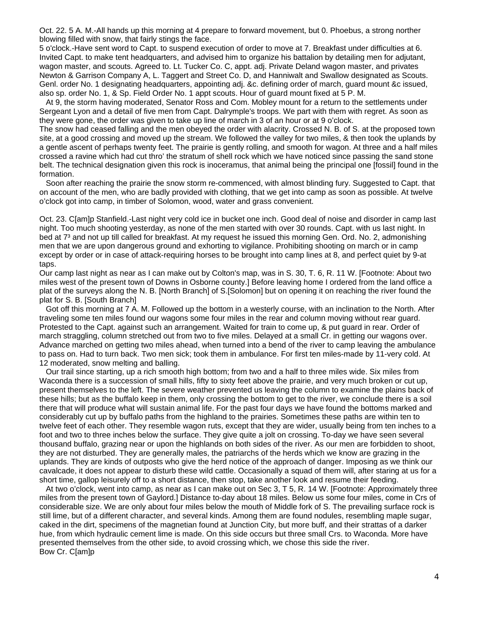Oct. 22. 5 A. M.-All hands up this morning at 4 prepare to forward movement, but 0. Phoebus, a strong norther blowing filled with snow, that fairly stings the face.

5 o'clock.-Have sent word to Capt. to suspend execution of order to move at 7. Breakfast under difficulties at 6. Invited Capt. to make tent headquarters, and advised him to organize his battalion by detailing men for adjutant, wagon master, and scouts. Agreed to. Lt. Tucker Co. C, appt. adj. Private Deland wagon master, and privates Newton & Garrison Company A, L. Taggert and Street Co. D, and Hanniwalt and Swallow designated as Scouts. Genl. order No. 1 designating headquarters, appointing adj. &c. defining order of march, guard mount &c issued, also sp. order No. 1, & Sp. Field Order No. 1 appt scouts. Hour of guard mount fixed at 5 P. M.

 At 9, the storm having moderated, Senator Ross and Com. Mobley mount for a return to the settlements under Sergeant Lyon and a detail of five men from Capt. Dalrymple's troops. We part with them with regret. As soon as they were gone, the order was given to take up line of march in 3 of an hour or at 9 o'clock.

The snow had ceased falling and the men obeyed the order with alacrity. Crossed N. B. of S. at the proposed town site, at a good crossing and moved up the stream. We followed the valley for two miles, & then took the uplands by a gentle ascent of perhaps twenty feet. The prairie is gently rolling, and smooth for wagon. At three and a half miles crossed a ravine which had cut thro' the stratum of shell rock which we have noticed since passing the sand stone belt. The technical designation given this rock is inoceramus, that animal being the principal one [fossil] found in the formation.

 Soon after reaching the prairie the snow storm re-commenced, with almost blinding fury. Suggested to Capt. that on account of the men, who are badly provided with clothing, that we get into camp as soon as possible. At twelve o'clock got into camp, in timber of Solomon, wood, water and grass convenient.

Oct. 23. C[am]p Stanfield.-Last night very cold ice in bucket one inch. Good deal of noise and disorder in camp last night. Too much shooting yesterday, as none of the men started with over 30 rounds. Capt. with us last night. In bed at 7<sup>3</sup> and not up till called for breakfast. At my request he issued this morning Gen. Ord. No. 2, admonishing men that we are upon dangerous ground and exhorting to vigilance. Prohibiting shooting on march or in camp except by order or in case of attack-requiring horses to be brought into camp lines at 8, and perfect quiet by 9-at taps.

Our camp last night as near as I can make out by Colton's map, was in S. 30, T. 6, R. 11 W. [Footnote: About two miles west of the present town of Downs in Osborne county.] Before leaving home I ordered from the land office a plat of the surveys along the N. B. [North Branch] of S.[Solomon] but on opening it on reaching the river found the plat for S. B. [South Branch]

 Got off this morning at 7 A. M. Followed up the bottom in a westerly course, with an inclination to the North. After traveling some ten miles found our wagons some four miles in the rear and column moving without rear guard. Protested to the Capt. against such an arrangement. Waited for train to come up, & put guard in rear. Order of march straggling, column stretched out from two to five miles. Delayed at a small Cr. in getting our wagons over. Advance marched on getting two miles ahead, when turned into a bend of the river to camp leaving the ambulance to pass on. Had to turn back. Two men sick; took them in ambulance. For first ten miles-made by 11-very cold. At 12 moderated, snow melting and balling.

 Our trail since starting, up a rich smooth high bottom; from two and a half to three miles wide. Six miles from Waconda there is a succession of small hills, fifty to sixty feet above the prairie, and very much broken or cut up, present themselves to the left. The severe weather prevented us leaving the column to examine the plains back of these hills; but as the buffalo keep in them, only crossing the bottom to get to the river, we conclude there is a soil there that will produce what will sustain animal life. For the past four days we have found the bottoms marked and considerably cut up by buffalo paths from the highland to the prairies. Sometimes these paths are within ten to twelve feet of each other. They resemble wagon ruts, except that they are wider, usually being from ten inches to a foot and two to three inches below the surface. They give quite a jolt on crossing. To-day we have seen several thousand buffalo, grazing near or upon the highlands on both sides of the river. As our men are forbidden to shoot, they are not disturbed. They are generally males, the patriarchs of the herds which we know are grazing in the uplands. They are kinds of outposts who give the herd notice of the approach of danger. Imposing as we think our cavalcade, it does not appear to disturb these wild cattle. Occasionally a squad of them will, after staring at us for a short time, gallop leisurely off to a short distance, then stop, take another look and resume their feeding.

 At two o'clock, went into camp, as near as I can make out on Sec 3, T 5, R. 14 W. [Footnote: Approximately three miles from the present town of Gaylord.] Distance to-day about 18 miles. Below us some four miles, come in Crs of considerable size. We are only about four miles below the mouth of Middle fork of S. The prevailing surface rock is still lime, but of a different character, and several kinds. Among them are found nodules, resembling maple sugar, caked in the dirt, specimens of the magnetian found at Junction City, but more buff, and their strattas of a darker hue, from which hydraulic cement lime is made. On this side occurs but three small Crs. to Waconda. More have presented themselves from the other side, to avoid crossing which, we chose this side the river. Bow Cr. C[am]p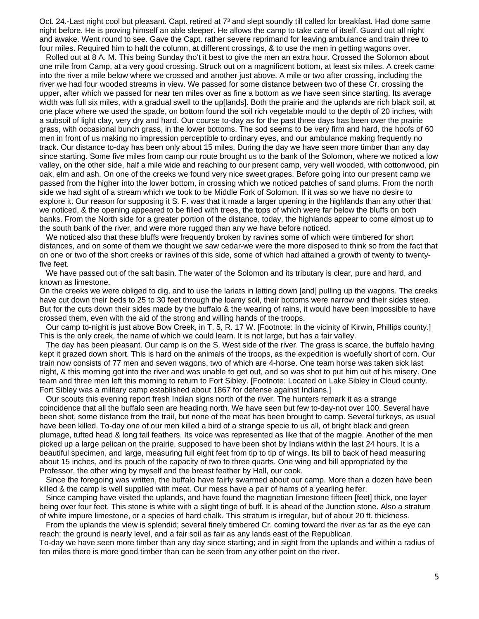Oct. 24.-Last night cool but pleasant. Capt. retired at 7<sup>3</sup> and slept soundly till called for breakfast. Had done same night before. He is proving himself an able sleeper. He allows the camp to take care of itself. Guard out all night and awake. Went round to see. Gave the Capt. rather severe reprimand for leaving ambulance and train three to four miles. Required him to halt the column, at different crossings, & to use the men in getting wagons over.

 Rolled out at 8 A. M. This being Sunday tho't it best to give the men an extra hour. Crossed the Solomon about one mile from Camp, at a very good crossing. Struck out on a magnificent bottom, at least six miles. A creek came into the river a mile below where we crossed and another just above. A mile or two after crossing, including the river we had four wooded streams in view. We passed for some distance between two of these Cr. crossing the upper, after which we passed for near ten miles over as fine a bottom as we have seen since starting. Its average width was full six miles, with a gradual swell to the up[lands]. Both the prairie and the uplands are rich black soil, at one place where we used the spade, on bottom found the soil rich vegetable mould to the depth of 20 inches, with a subsoil of light clay, very dry and hard. Our course to-day as for the past three days has been over the prairie grass, with occasional bunch grass, in the lower bottoms. The sod seems to be very firm and hard, the hoofs of 60 men in front of us making no impression perceptible to ordinary eyes, and our ambulance making frequently no track. Our distance to-day has been only about 15 miles. During the day we have seen more timber than any day since starting. Some five miles from camp our route brought us to the bank of the Solomon, where we noticed a low valley, on the other side, half a mile wide and reaching to our present camp, very well wooded, with cottonwood, pin oak, elm and ash. On one of the creeks we found very nice sweet grapes. Before going into our present camp we passed from the higher into the lower bottom, in crossing which we noticed patches of sand plums. From the north side we had sight of a stream which we took to be Middle Fork of Solomon. If it was so we have no desire to explore it. Our reason for supposing it S. F. was that it made a larger opening in the highlands than any other that we noticed, & the opening appeared to be filled with trees, the tops of which were far below the bluffs on both banks. From the North side for a greater portion of the distance, today, the highlands appear to come almost up to the south bank of the river, and were more rugged than any we have before noticed.

 We noticed also that these bluffs were frequently broken by ravines some of which were timbered for short distances, and on some of them we thought we saw cedar-we were the more disposed to think so from the fact that on one or two of the short creeks or ravines of this side, some of which had attained a growth of twenty to twentyfive feet.

 We have passed out of the salt basin. The water of the Solomon and its tributary is clear, pure and hard, and known as limestone.

On the creeks we were obliged to dig, and to use the lariats in letting down [and] pulling up the wagons. The creeks have cut down their beds to 25 to 30 feet through the loamy soil, their bottoms were narrow and their sides steep. But for the cuts down their sides made by the buffalo & the wearing of rains, it would have been impossible to have crossed them, even with the aid of the strong and willing hands of the troops.

 Our camp to-night is just above Bow Creek, in T. 5, R. 17 W. [Footnote: In the vicinity of Kirwin, Phillips county.] This is the only creek, the name of which we could learn. It is not large, but has a fair valley.

 The day has been pleasant. Our camp is on the S. West side of the river. The grass is scarce, the buffalo having kept it grazed down short. This is hard on the animals of the troops, as the expedition is woefully short of corn. Our train now consists of 77 men and seven wagons, two of which are 4-horse. One team horse was taken sick last night, & this morning got into the river and was unable to get out, and so was shot to put him out of his misery. One team and three men left this morning to return to Fort Sibley. [Footnote: Located on Lake Sibley in Cloud county. Fort Sibley was a military camp established about 1867 for defense against Indians.]

 Our scouts this evening report fresh Indian signs north of the river. The hunters remark it as a strange coincidence that all the buffalo seen are heading north. We have seen but few to-day-not over 100. Several have been shot, some distance from the trail, but none of the meat has been brought to camp. Several turkeys, as usual have been killed. To-day one of our men killed a bird of a strange specie to us all, of bright black and green plumage, tufted head & long tail feathers. Its voice was represented as like that of the magpie. Another of the men picked up a large pelican on the prairie, supposed to have been shot by Indians within the last 24 hours. It is a beautiful specimen, and large, measuring full eight feet from tip to tip of wings. Its bill to back of head measuring about 15 inches, and its pouch of the capacity of two to three quarts. One wing and bill appropriated by the Professor, the other wing by myself and the breast feather by Hall, our cook.

 Since the foregoing was written, the buffalo have fairly swarmed about our camp. More than a dozen have been killed & the camp is well supplied with meat. Our mess have a pair of hams of a yearling heifer.

 Since camping have visited the uplands, and have found the magnetian limestone fifteen [feet] thick, one layer being over four feet. This stone is white with a slight tinge of buff. It is ahead of the Junction stone. Also a stratum of white impure limestone, or a species of hard chalk. This stratum is irregular, but of about 20 ft. thickness.

 From the uplands the view is splendid; several finely timbered Cr. coming toward the river as far as the eye can reach; the ground is nearly level, and a fair soil as fair as any lands east of the Republican.

To-day we have seen more timber than any day since starting; and in sight from the uplands and within a radius of ten miles there is more good timber than can be seen from any other point on the river.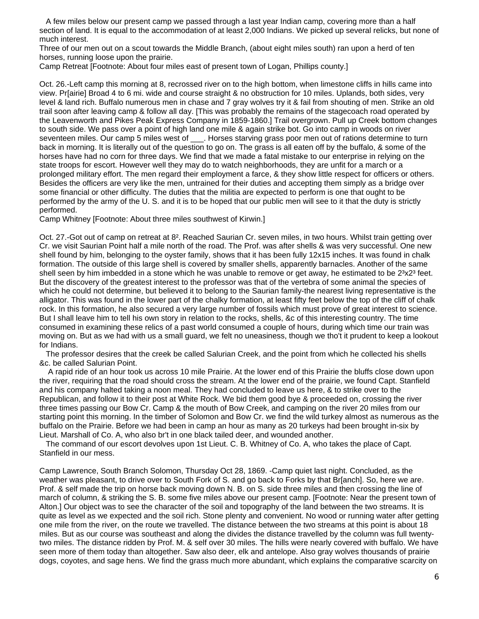A few miles below our present camp we passed through a last year Indian camp, covering more than a half section of land. It is equal to the accommodation of at least 2,000 Indians. We picked up several relicks, but none of much interest.

Three of our men out on a scout towards the Middle Branch, (about eight miles south) ran upon a herd of ten horses, running loose upon the prairie.

Camp Retreat [Footnote: About four miles east of present town of Logan, Phillips county.]

Oct. 26.-Left camp this morning at 8, recrossed river on to the high bottom, when limestone cliffs in hills came into view. Pr[airie] Broad 4 to 6 mi. wide and course straight & no obstruction for 10 miles. Uplands, both sides, very level & land rich. Buffalo numerous men in chase and 7 gray wolves try it & fail from shouting of men. Strike an old trail soon after leaving camp & follow all day. [This was probably the remains of the stagecoach road operated by the Leavenworth and Pikes Peak Express Company in 1859-1860.] Trail overgrown. Pull up Creek bottom changes to south side. We pass over a point of high land one mile & again strike bot. Go into camp in woods on river seventeen miles. Our camp 5 miles west of \_\_\_. Horses starving grass poor men out of rations determine to turn back in morning. It is literally out of the question to go on. The grass is all eaten off by the buffalo, & some of the horses have had no corn for three days. We find that we made a fatal mistake to our enterprise in relying on the state troops for escort. However well they may do to watch neighborhoods, they are unfit for a march or a prolonged military effort. The men regard their employment a farce, & they show little respect for officers or others. Besides the officers are very like the men, untrained for their duties and accepting them simply as a bridge over some financial or other difficulty. The duties that the militia are expected to perform is one that ought to be performed by the army of the U. S. and it is to be hoped that our public men will see to it that the duty is strictly performed.

Camp Whitney [Footnote: About three miles southwest of Kirwin.]

Oct. 27.-Got out of camp on retreat at 8². Reached Saurian Cr. seven miles, in two hours. Whilst train getting over Cr. we visit Saurian Point half a mile north of the road. The Prof. was after shells & was very successful. One new shell found by him, belonging to the oyster family, shows that it has been fully 12x15 inches. It was found in chalk formation. The outside of this large shell is covered by smaller shells, apparently barnacles. Another of the same shell seen by him imbedded in a stone which he was unable to remove or get away, he estimated to be  $2<sup>3</sup>x2<sup>3</sup>$  feet. But the discovery of the greatest interest to the professor was that of the vertebra of some animal the species of which he could not determine, but believed it to belong to the Saurian family-the nearest living representative is the alligator. This was found in the lower part of the chalky formation, at least fifty feet below the top of the cliff of chalk rock. In this formation, he also secured a very large number of fossils which must prove of great interest to science. But I shall leave him to tell his own story in relation to the rocks, shells, &c of this interesting country. The time consumed in examining these relics of a past world consumed a couple of hours, during which time our train was moving on. But as we had with us a small guard, we felt no uneasiness, though we tho't it prudent to keep a lookout for Indians.

 The professor desires that the creek be called Salurian Creek, and the point from which he collected his shells &c. be called Salurian Point.

 A rapid ride of an hour took us across 10 mile Prairie. At the lower end of this Prairie the bluffs close down upon the river, requiring that the road should cross the stream. At the lower end of the prairie, we found Capt. Stanfield and his company halted taking a noon meal. They had concluded to leave us here, & to strike over to the Republican, and follow it to their post at White Rock. We bid them good bye & proceeded on, crossing the river three times passing our Bow Cr. Camp & the mouth of Bow Creek, and camping on the river 20 miles from our starting point this morning. In the timber of Solomon and Bow Cr. we find the wild turkey almost as numerous as the buffalo on the Prairie. Before we had been in camp an hour as many as 20 turkeys had been brought in-six by Lieut. Marshall of Co. A, who also br't in one black tailed deer, and wounded another.

 The command of our escort devolves upon 1st Lieut. C. B. Whitney of Co. A, who takes the place of Capt. Stanfield in our mess.

Camp Lawrence, South Branch Solomon, Thursday Oct 28, 1869. -Camp quiet last night. Concluded, as the weather was pleasant, to drive over to South Fork of S. and go back to Forks by that Br[anch]. So, here we are. Prof. & self made the trip on horse back moving down N. B. on S. side three miles and then crossing the line of march of column, & striking the S. B. some five miles above our present camp. [Footnote: Near the present town of Alton.] Our object was to see the character of the soil and topography of the land between the two streams. It is quite as level as we expected and the soil rich. Stone plenty and convenient. No wood or running water after getting one mile from the river, on the route we travelled. The distance between the two streams at this point is about 18 miles. But as our course was southeast and along the divides the distance travelled by the column was full twentytwo miles. The distance ridden by Prof. M. & self over 30 miles. The hills were nearly covered with buffalo. We have seen more of them today than altogether. Saw also deer, elk and antelope. Also gray wolves thousands of prairie dogs, coyotes, and sage hens. We find the grass much more abundant, which explains the comparative scarcity on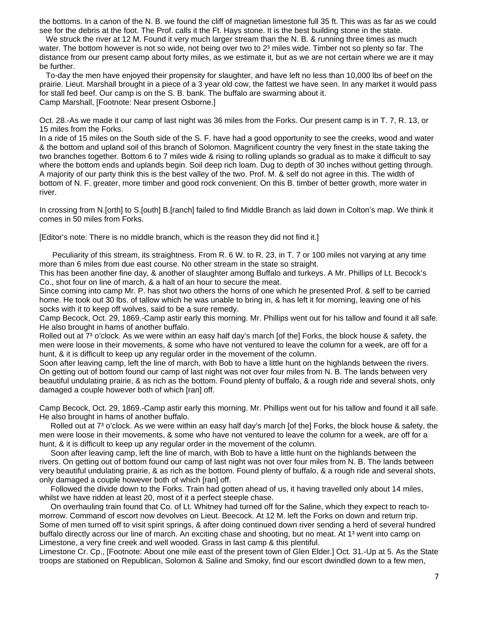the bottoms. In a canon of the N. B. we found the cliff of magnetian limestone full 35 ft. This was as far as we could see for the debris at the foot. The Prof. calls it the Ft. Hays stone. It is the best building stone in the state.

We struck the river at 12 M. Found it very much larger stream than the N. B. & running three times as much water. The bottom however is not so wide, not being over two to 2<sup>3</sup> miles wide. Timber not so plenty so far. The distance from our present camp about forty miles, as we estimate it, but as we are not certain where we are it may be further.

 To-day the men have enjoyed their propensity for slaughter, and have left no less than 10,000 lbs of beef on the prairie. Lieut. Marshall brought in a piece of a 3 year old cow, the fattest we have seen. In any market it would pass for stall fed beef. Our camp is on the S. B. bank. The buffalo are swarming about it. Camp Marshall, [Footnote: Near present Osborne.]

Oct. 28.-As we made it our camp of last night was 36 miles from the Forks. Our present camp is in T. 7, R. 13, or 15 miles from the Forks.

In a ride of 15 miles on the South side of the S. F. have had a good opportunity to see the creeks, wood and water & the bottom and upland soil of this branch of Solomon. Magnificent country the very finest in the state taking the two branches together. Bottom 6 to 7 miles wide & rising to rolling uplands so gradual as to make it difficult to say where the bottom ends and uplands begin. Soil deep rich loam. Dug to depth of 30 inches without getting through. A majority of our party think this is the best valley of the two. Prof. M. & self do not agree in this. The width of bottom of N. F. greater, more timber and good rock convenient. On this B. timber of better growth, more water in river.

In crossing from N.[orth] to S.[outh] B.[ranch] failed to find Middle Branch as laid down in Colton's map. We think it comes in 50 miles from Forks.

[Editor's note: There is no middle branch, which is the reason they did not find it.]

 Peculiarity of this stream, its straightness. From R. 6 W. to R. 23, in T. 7 or 100 miles not varying at any time more than 6 miles from due east course. No other stream in the state so straight.

This has been another fine day, & another of slaughter among Buffalo and turkeys. A Mr. Phillips of Lt. Becock's Co., shot four on line of march, & a halt of an hour to secure the meat.

Since coming into camp Mr. P. has shot two others the horns of one which he presented Prof. & self to be carried home. He took out 30 lbs. of tallow which he was unable to bring in, & has left it for morning, leaving one of his socks with it to keep off wolves, said to be a sure remedy.

Camp Becock, Oct. 29, 1869.-Camp astir early this morning. Mr. Phillips went out for his tallow and found it all safe. He also brought in hams of another buffalo.

Rolled out at 7<sup>3</sup> o'clock. As we were within an easy half day's march [of the] Forks, the block house & safety, the men were loose in their movements, & some who have not ventured to leave the column for a week, are off for a hunt, & it is difficult to keep up any regular order in the movement of the column.

Soon after leaving camp, left the line of march, with Bob to have a little hunt on the highlands between the rivers. On getting out of bottom found our camp of last night was not over four miles from N. B. The lands between very beautiful undulating prairie, & as rich as the bottom. Found plenty of buffalo, & a rough ride and several shots, only damaged a couple however both of which [ran] off.

Camp Becock, Oct. 29, 1869.-Camp astir early this morning. Mr. Phillips went out for his tallow and found it all safe. He also brought in hams of another buffalo.

Rolled out at 7<sup>3</sup> o'clock. As we were within an easy half day's march [of the] Forks, the block house & safety, the men were loose in their movements, & some who have not ventured to leave the column for a week, are off for a hunt, & it is difficult to keep up any regular order in the movement of the column.

Soon after leaving camp, left the line of march, with Bob to have a little hunt on the highlands between the rivers. On getting out of bottom found our camp of last night was not over four miles from N. B. The lands between very beautiful undulating prairie, & as rich as the bottom. Found plenty of buffalo, & a rough ride and several shots, only damaged a couple however both of which [ran] off.

Followed the divide down to the Forks. Train had gotten ahead of us, it having travelled only about 14 miles, whilst we have ridden at least 20, most of it a perfect steeple chase.

On overhauling train found that Co. of Lt. Whitney had turned off for the Saline, which they expect to reach tomorrow. Command of escort now devolves on Lieut. Beecock. At 12 M. left the Forks on down and return trip. Some of men turned off to visit spirit springs, & after doing continued down river sending a herd of several hundred buffalo directly across our line of march. An exciting chase and shooting, but no meat. At 1³ went into camp on Limestone, a very fine creek and well wooded. Grass in last camp & this plentiful.

Limestone Cr. Cp., [Footnote: About one mile east of the present town of Glen Elder.] Oct. 31.-Up at 5. As the State troops are stationed on Republican, Solomon & Saline and Smoky, find our escort dwindled down to a few men,